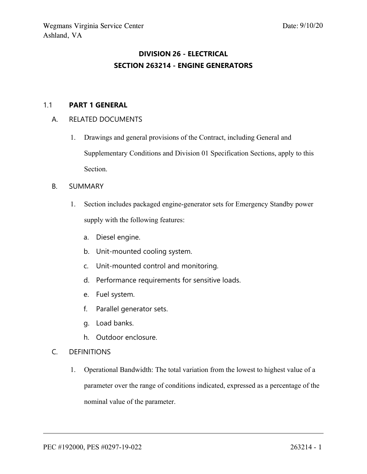# **DIVISION 26 - ELECTRICAL SECTION 263214 - ENGINE GENERATORS**

#### 1.1 **PART 1 GENERAL**

#### A. RELATED DOCUMENTS

- 1. Drawings and general provisions of the Contract, including General and Supplementary Conditions and Division 01 Specification Sections, apply to this Section.
- B. SUMMARY
	- 1. Section includes packaged engine-generator sets for Emergency Standby power supply with the following features:
		- a. Diesel engine.
		- b. Unit-mounted cooling system.
		- c. Unit-mounted control and monitoring.
		- d. Performance requirements for sensitive loads.
		- e. Fuel system.
		- f. Parallel generator sets.
		- g. Load banks.
		- h. Outdoor enclosure.

#### C. DEFINITIONS

1. Operational Bandwidth: The total variation from the lowest to highest value of <sup>a</sup> parameter over the range of conditions indicated, expressed as <sup>a</sup> percentage of the nominal value of the parameter.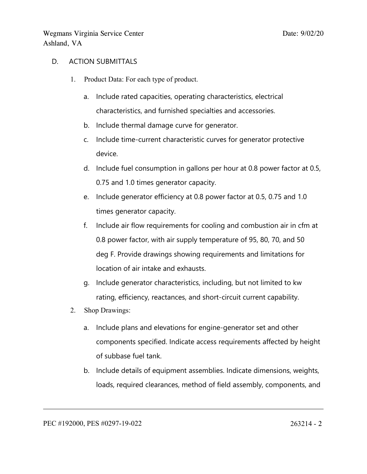#### D. ACTION SUBMITTALS

- 1. Product Data: For each type of product.
	- a. Include rated capacities, operating characteristics, electrical characteristics, and furnished specialties and accessories.
	- b. Include thermal damage curve for generator.
	- c. Include time-current characteristic curves for generator protective device.
	- d. Include fuel consumption in gallons per hour at 0.8 power factor at 0.5, 0.75 and 1.0 times generator capacity.
	- e. Include generator efficiency at 0.8 power factor at 0.5, 0.75 and 1.0 times generator capacity.
	- f. Include air flow requirements for cooling and combustion air in cfm at 0.8 power factor, with air supply temperature of 95, 80, 70, and 50 deg F. Provide drawings showing requirements and limitations for location of air intake and exhausts.
	- g. Include generator characteristics, including, but not limited to kw rating, efficiency, reactances, and short-circuit current capability.
- 2. Shop Drawings:
	- a. Include plans and elevations for engine-generator set and other components specified. Indicate access requirements affected by height of subbase fuel tank.
	- b. Include details of equipment assemblies. Indicate dimensions, weights, loads, required clearances, method of field assembly, components, and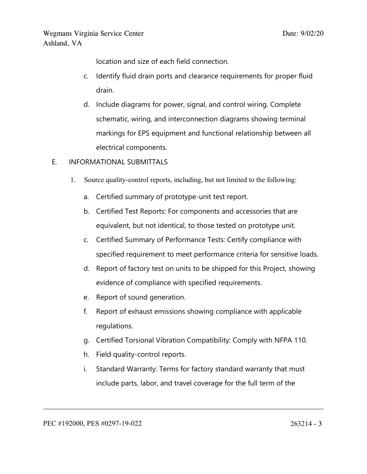location and size of each field connection.

- c. Identify fluid drain ports and clearance requirements for proper fluid drain.
- d. Include diagrams for power, signal, and control wiring. Complete schematic, wiring, and interconnection diagrams showing terminal markings for EPS equipment and functional relationship between all electrical components.
- E. INFORMATIONAL SUBMITTALS
	- 1. Source quality-control reports, including, but not limited to the following:
		- a. Certified summary of prototype-unit test report.
		- b. Certified Test Reports: For components and accessories that are equivalent, but not identical, to those tested on prototype unit.
		- c. Certified Summary of Performance Tests: Certify compliance with specified requirement to meet performance criteria for sensitive loads.
		- d. Report of factory test on units to be shipped for this Project, showing evidence of compliance with specified requirements.
		- e. Report of sound generation.
		- f. Report of exhaust emissions showing compliance with applicable regulations.
		- g. Certified Torsional Vibration Compatibility: Comply with NFPA 110.
		- h. Field quality-control reports.
		- i. Standard Warranty: Terms for factory standard warranty that must include parts, labor, and travel coverage for the full term of the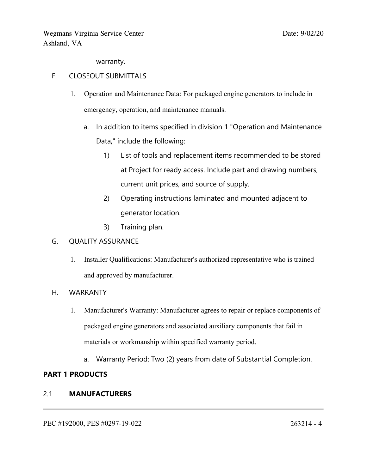warranty.

### F. CLOSEOUT SUBMITTALS

- 1. Operation and Maintenance Data: For packaged engine generators to include in emergency, operation, and maintenance manuals.
	- a. In addition to items specified in division 1 "Operation and Maintenance Data," include the following:
		- 1) List of tools and replacement items recommended to be stored at Project for ready access. Include part and drawing numbers, current unit prices, and source of supply.
		- 2) Operating instructions laminated and mounted adjacent to generator location.
		- 3) Training plan.

### G. QUALITY ASSURANCE

1. Installer Qualifications: Manufacturer's authorized representative who is trained and approved by manufacturer.

### H. WARRANTY

- 1. Manufacturer's Warranty: Manufacturer agrees to repair or replace components of packaged engine generators and associated auxiliary components that fail in materials or workmanship within specified warranty period.
	- a. Warranty Period: Two (2) years from date of Substantial Completion.

### **PART 1 PRODUCTS**

### 2.1 **MANUFACTURERS**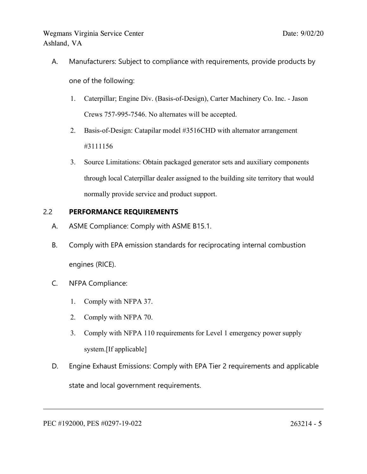A. Manufacturers: Subject to compliance with requirements, provide products by

one of the following:

- 1. Caterpillar; Engine Div. (Basis-of-Design), Carter Machinery Co. Inc. Jason Crews 757-995-7546. No alternates will be accepted.
- 2. Basis-of-Design: Catapilar model #3516CHD with alternator arrangemen<sup>t</sup> #3111156
- 3. Source Limitations: Obtain packaged generator sets and auxiliary components through local Caterpillar dealer assigned to the building site territory that would normally provide service and product support.

## 2.2 **PERFORMANCE REQUIREMENTS**

- A. ASME Compliance: Comply with ASME B15.1.
- B. Comply with EPA emission standards for reciprocating internal combustion engines (RICE).
- C. NFPA Compliance:
	- 1. Comply with NFPA 37.
	- 2. Comply with NFPA 70.
	- 3. Comply with NFPA 110 requirements for Level 1 emergency power supply system.[If applicable]
- D. Engine Exhaust Emissions: Comply with EPA Tier 2 requirements and applicable state and local governmen<sup>t</sup> requirements.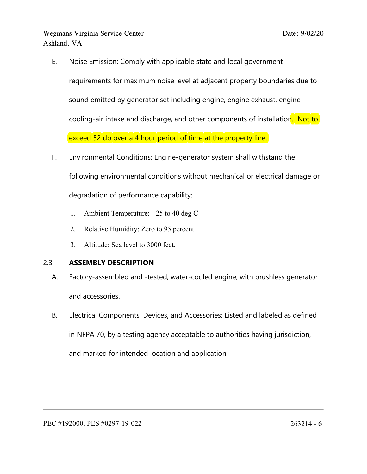E. Noise Emission: Comply with applicable state and local governmen<sup>t</sup>

requirements for maximum noise level at adjacent property boundaries due to sound emitted by generator set including engine, engine exhaust, engine cooling-air intake and discharge, and other components of installation. Not to exceed 52 db over a 4 hour period of time at the property line.

- F. Environmental Conditions: Engine-generator system shall withstand the following environmental conditions without mechanical or electrical damage or degradation of performance capability:
	- 1. Ambient Temperature: -25 to 40 deg C
	- 2. Relative Humidity: Zero to 95 percent.
	- 3. Altitude: Sea level to 3000 feet.

# 2.3 **ASSEMBLY DESCRIPTION**

- A. Factory-assembled and -tested, water-cooled engine, with brushless generator and accessories.
- B. Electrical Components, Devices, and Accessories: Listed and labeled as defined in NFPA 70, by <sup>a</sup> testing agency acceptable to authorities having jurisdiction, and marked for intended location and application.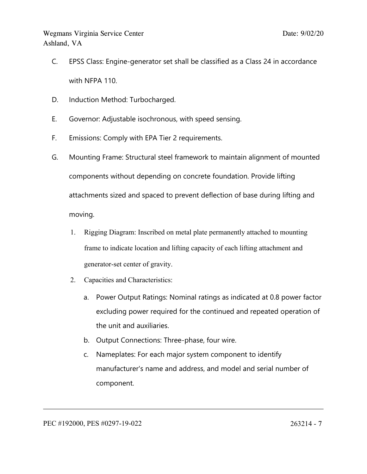- C. EPSS Class: Engine-generator set shall be classified as <sup>a</sup> Class 24 in accordance with NFPA 110.
- D. Induction Method: Turbocharged.
- E. Governor: Adjustable isochronous, with speed sensing.
- F. Emissions: Comply with EPA Tier 2 requirements.
- G. Mounting Frame: Structural steel framework to maintain alignment of mounted components without depending on concrete foundation. Provide lifting attachments sized and spaced to prevent deflection of base during lifting and moving.
	- 1. Rigging Diagram: Inscribed on metal plate permanently attached to mounting frame to indicate location and lifting capacity of each lifting attachment and generator-set center of gravity.
	- 2. Capacities and Characteristics:
		- a. Power Output Ratings: Nominal ratings as indicated at 0.8 power factor excluding power required for the continued and repeated operation of the unit and auxiliaries.
		- b. Output Connections: Three-phase, four wire.
		- c. Nameplates: For each major system component to identify manufacturer's name and address, and model and serial number of component.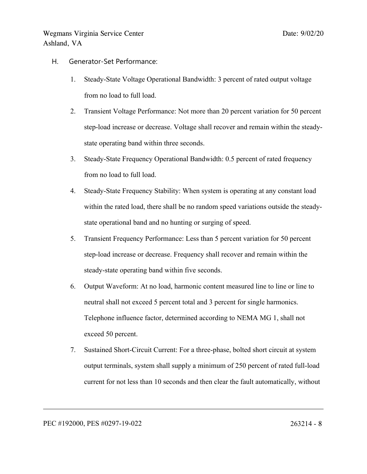- H. Generator-Set Performance:
	- 1. Steady-State Voltage Operational Bandwidth: 3 percen<sup>t</sup> of rated output voltage from no load to full load.
	- 2. Transient Voltage Performance: Not more than 20 percen<sup>t</sup> variation for 50 percen<sup>t</sup> step-load increase or decrease. Voltage shall recover and remain within the steadystate operating band within three seconds.
	- 3. Steady-State Frequency Operational Bandwidth: 0.5 percen<sup>t</sup> of rated frequency from no load to full load.
	- 4. Steady-State Frequency Stability: When system is operating at any constant load within the rated load, there shall be no random speed variations outside the steadystate operational band and no hunting or surging of speed.
	- 5. Transient Frequency Performance: Less than 5 percen<sup>t</sup> variation for 50 percen<sup>t</sup> step-load increase or decrease. Frequency shall recover and remain within the steady-state operating band within five seconds.
	- 6. Output Waveform: At no load, harmonic content measured line to line or line to neutral shall not exceed 5 percen<sup>t</sup> total and 3 percen<sup>t</sup> for single harmonics. Telephone influence factor, determined according to NEMA MG 1, shall not exceed 50 percent.
	- 7. Sustained Short-Circuit Current: For <sup>a</sup> three-phase, bolted short circuit at system output terminals, system shall supply <sup>a</sup> minimum of 250 percen<sup>t</sup> of rated full-load current for not less than 10 seconds and then clear the fault automatically, without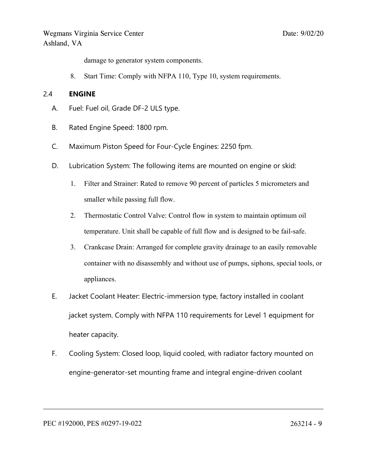damage to generator system components.

8. Start Time: Comply with NFPA 110, Type 10, system requirements.

#### 2.4 **ENGINE**

- A. Fuel: Fuel oil, Grade DF-2 ULS type.
- B. Rated Engine Speed: 1800 rpm.
- C. Maximum Piston Speed for Four-Cycle Engines: 2250 fpm.
- D. Lubrication System: The following items are mounted on engine or skid:
	- 1. Filter and Strainer: Rated to remove 90 percen<sup>t</sup> of particles 5 micrometers and smaller while passing full flow.
	- 2. Thermostatic Control Valve: Control flow in system to maintain optimum oil temperature. Unit shall be capable of full flow and is designed to be fail-safe.
	- 3. Crankcase Drain: Arranged for complete gravity drainage to an easily removable container with no disassembly and without use of pumps, siphons, special tools, or appliances.
- E. Jacket Coolant Heater: Electric-immersion type, factory installed in coolant jacket system. Comply with NFPA 110 requirements for Level 1 equipment for heater capacity.
- F. Cooling System: Closed loop, liquid cooled, with radiator factory mounted on engine-generator-set mounting frame and integral engine-driven coolant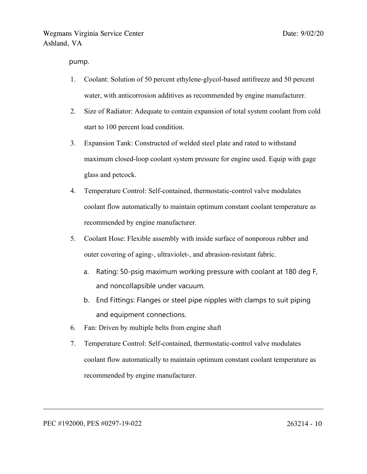pump.

- 1. Coolant: Solution of 50 percen<sup>t</sup> ethylene-glycol-based antifreeze and 50 percen<sup>t</sup> water, with anticorrosion additives as recommended by engine manufacturer.
- 2. Size of Radiator: Adequate to contain expansion of total system coolant from cold start to 100 percen<sup>t</sup> load condition.
- 3. Expansion Tank: Constructed of welded steel plate and rated to withstand maximum closed-loop coolant system pressure for engine used. Equip with gage glass and petcock.
- 4. Temperature Control: Self-contained, thermostatic-control valve modulates coolant flow automatically to maintain optimum constant coolant temperature as recommended by engine manufacturer.
- 5. Coolant Hose: Flexible assembly with inside surface of nonporous rubber and outer covering of aging-, ultraviolet-, and abrasion-resistant fabric.
	- a. Rating: 50-psig maximum working pressure with coolant at 180 deg F, and noncollapsible under vacuum.
	- b. End Fittings: Flanges or steel pipe nipples with clamps to suit piping and equipment connections.
- 6. Fan: Driven by multiple belts from engine shaft
- 7. Temperature Control: Self-contained, thermostatic-control valve modulates coolant flow automatically to maintain optimum constant coolant temperature as recommended by engine manufacturer.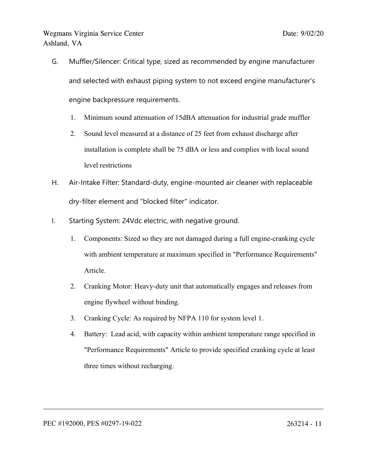- G. Muffler/Silencer: Critical type, sized as recommended by engine manufacturer and selected with exhaust piping system to not exceed engine manufacturer's engine backpressure requirements.
	- 1. Minimum sound attenuation of 15dBA attenuation for industrial grade muffler
	- 2. Sound level measured at <sup>a</sup> distance of 25 feet from exhaust discharge after installation is complete shall be 75 dBA or less and complies with local sound level restrictions
- H. Air-Intake Filter: Standard-duty, engine-mounted air cleaner with replaceable dry-filter element and "blocked filter" indicator.
- I. Starting System: 24Vdc electric, with negative ground.
	- 1. Components: Sized so they are not damaged during <sup>a</sup> full engine-cranking cycle with ambient temperature at maximum specified in "Performance Requirements" Article.
	- 2. Cranking Motor: Heavy-duty unit that automatically engages and releases from engine flywheel without binding.
	- 3. Cranking Cycle: As required by NFPA 110 for system level 1.
	- 4. Battery: Lead acid, with capacity within ambient temperature range specified in "Performance Requirements" Article to provide specified cranking cycle at least three times without recharging.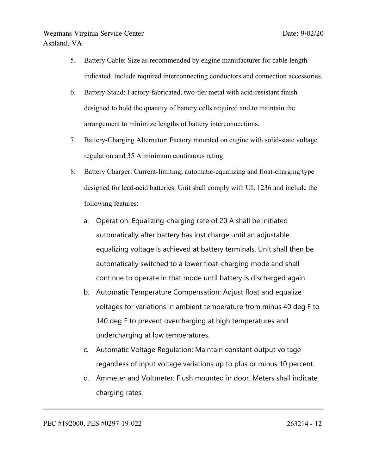- 5. Battery Cable: Size as recommended by engine manufacturer for cable length indicated. Include required interconnecting conductors and connection accessories.
- 6. Battery Stand: Factory-fabricated, two-tier metal with acid-resistant finish designed to hold the quantity of battery cells required and to maintain the arrangemen<sup>t</sup> to minimize lengths of battery interconnections.
- 7. Battery-Charging Alternator: Factory mounted on engine with solid-state voltage regulation and 35 A minimum continuous rating.
- 8. Battery Charger: Current-limiting, automatic-equalizing and float-charging type designed for lead-acid batteries. Unit shall comply with UL 1236 and include the following features:
	- a. Operation: Equalizing-charging rate of 20 A shall be initiated automatically after battery has lost charge until an adjustable equalizing voltage is achieved at battery terminals. Unit shall then be automatically switched to <sup>a</sup> lower float-charging mode and shall continue to operate in that mode until battery is discharged again.
	- b. Automatic Temperature Compensation: Adjust float and equalize voltages for variations in ambient temperature from minus 40 deg F to 140 deg F to prevent overcharging at high temperatures and undercharging at low temperatures.
	- c. Automatic Voltage Regulation: Maintain constant output voltage regardless of input voltage variations up to plus or minus 10 percent.
	- d. Ammeter and Voltmeter: Flush mounted in door. Meters shall indicate charging rates.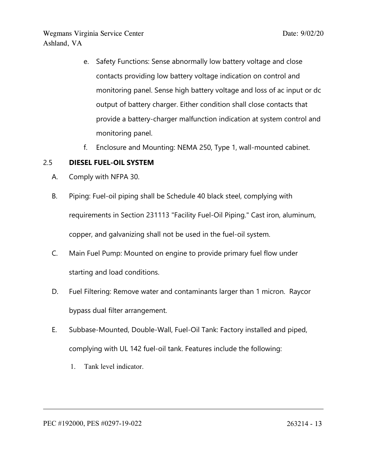- e. Safety Functions: Sense abnormally low battery voltage and close contacts providing low battery voltage indication on control and monitoring panel. Sense high battery voltage and loss of ac input or dc output of battery charger. Either condition shall close contacts that provide <sup>a</sup> battery-charger malfunction indication at system control and monitoring panel.
- f. Enclosure and Mounting: NEMA 250, Type 1, wall-mounted cabinet.

### 2.5 **DIESEL FUEL-OIL SYSTEM**

- A. Comply with NFPA 30.
- B. Piping: Fuel-oil piping shall be Schedule 40 black steel, complying with requirements in Section 231113 "Facility Fuel-Oil Piping." Cast iron, aluminum, copper, and galvanizing shall not be used in the fuel-oil system.
- C. Main Fuel Pump: Mounted on engine to provide primary fuel flow under starting and load conditions.
- D. Fuel Filtering: Remove water and contaminants larger than 1 micron. Raycor bypass dual filter arrangement.
- E. Subbase-Mounted, Double-Wall, Fuel-Oil Tank: Factory installed and piped, complying with UL 142 fuel-oil tank. Features include the following:
	- 1. Tank level indicator.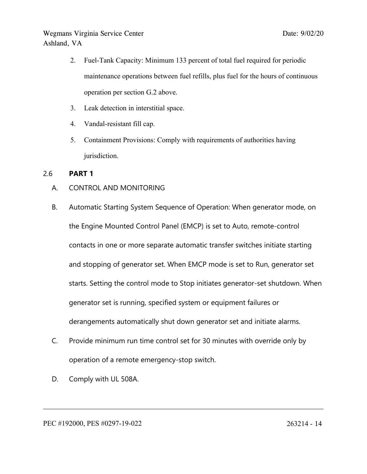- 2. Fuel-Tank Capacity: Minimum 133 percen<sup>t</sup> of total fuel required for periodic maintenance operations between fuel refills, plus fuel for the hours of continuous operation per section G.2 above.
- 3. Leak detection in interstitial space.
- 4. Vandal-resistant fill cap.
- 5. Containment Provisions: Comply with requirements of authorities having jurisdiction.

### 2.6 **PART 1**

- A. CONTROL AND MONITORING
- B. Automatic Starting System Sequence of Operation: When generator mode, on the Engine Mounted Control Panel (EMCP) is set to Auto, remote-control contacts in one or more separate automatic transfer switches initiate starting and stopping of generator set. When EMCP mode is set to Run, generator set starts. Setting the control mode to Stop initiates generator-set shutdown. When generator set is running, specified system or equipment failures or derangements automatically shut down generator set and initiate alarms.
- C. Provide minimum run time control set for 30 minutes with override only by operation of <sup>a</sup> remote emergency-stop switch.
- D. Comply with UL 508A.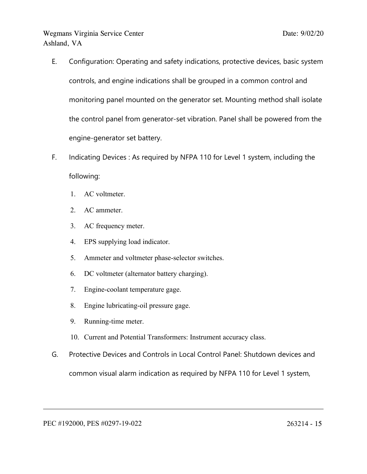- E. Configuration: Operating and safety indications, protective devices, basic system controls, and engine indications shall be grouped in <sup>a</sup> common control and monitoring panel mounted on the generator set. Mounting method shall isolate the control panel from generator-set vibration. Panel shall be powered from the engine-generator set battery.
- F. Indicating Devices : As required by NFPA 110 for Level 1 system, including the following:
	- 1. AC voltmeter.
	- 2. AC ammeter.
	- 3. AC frequency meter.
	- 4. EPS supplying load indicator.
	- 5. Ammeter and voltmeter phase-selector switches.
	- 6. DC voltmeter (alternator battery charging).
	- 7. Engine-coolant temperature gage.
	- 8. Engine lubricating-oil pressure gage.
	- 9. Running-time meter.
	- 10. Current and Potential Transformers: Instrument accuracy class.
- G. Protective Devices and Controls in Local Control Panel: Shutdown devices and common visual alarm indication as required by NFPA 110 for Level 1 system,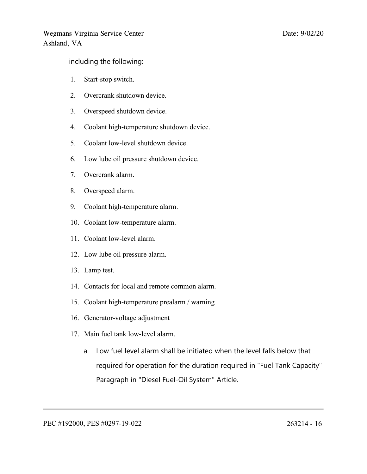including the following:

- 1. Start-stop switch.
- 2. Overcrank shutdown device.
- 3. Overspeed shutdown device.
- 4. Coolant high-temperature shutdown device.
- 5. Coolant low-level shutdown device.
- 6. Low lube oil pressure shutdown device.
- 7. Overcrank alarm.
- 8. Overspeed alarm.
- 9. Coolant high-temperature alarm.
- 10. Coolant low-temperature alarm.
- 11. Coolant low-level alarm.
- 12. Low lube oil pressure alarm.
- 13. Lamp test.
- 14. Contacts for local and remote common alarm.
- 15. Coolant high-temperature prealarm / warning
- 16. Generator-voltage adjustment
- 17. Main fuel tank low-level alarm.
	- a. Low fuel level alarm shall be initiated when the level falls below that required for operation for the duration required in "Fuel Tank Capacity" Paragraph in "Diesel Fuel-Oil System" Article.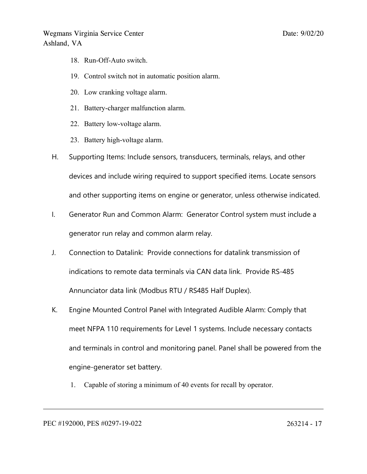- 18. Run-Off-Auto switch.
- 19. Control switch not in automatic position alarm.
- 20. Low cranking voltage alarm.
- 21. Battery-charger malfunction alarm.
- 22. Battery low-voltage alarm.
- 23. Battery high-voltage alarm.
- H. Supporting Items: Include sensors, transducers, terminals, relays, and other devices and include wiring required to support specified items. Locate sensors and other supporting items on engine or generator, unless otherwise indicated.
- I. Generator Run and Common Alarm: Generator Control system must include <sup>a</sup> generator run relay and common alarm relay.
- J. Connection to Datalink: Provide connections for datalink transmission of indications to remote data terminals via CAN data link. Provide RS-485 Annunciator data link (Modbus RTU / RS485 Half Duplex).
- K. Engine Mounted Control Panel with Integrated Audible Alarm: Comply that meet NFPA 110 requirements for Level 1 systems. Include necessary contacts and terminals in control and monitoring panel. Panel shall be powered from the engine-generator set battery.
	- 1. Capable of storing <sup>a</sup> minimum of 40 events for recall by operator.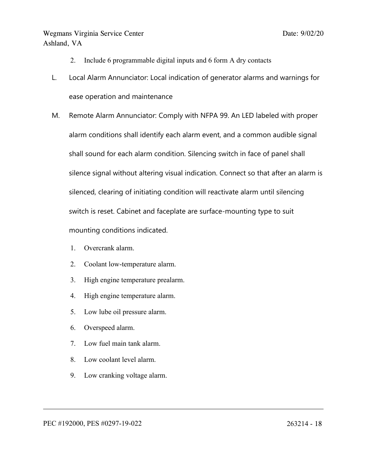- 2. Include 6 programmable digital inputs and 6 form A dry contacts
- L. Local Alarm Annunciator: Local indication of generator alarms and warnings for ease operation and maintenance
- M. Remote Alarm Annunciator: Comply with NFPA 99. An LED labeled with proper alarm conditions shall identify each alarm event, and <sup>a</sup> common audible signal shall sound for each alarm condition. Silencing switch in face of panel shall silence signal without altering visual indication. Connect so that after an alarm is silenced, clearing of initiating condition will reactivate alarm until silencing switch is reset. Cabinet and faceplate are surface-mounting type to suit mounting conditions indicated.
	- 1. Overcrank alarm.
	- 2. Coolant low-temperature alarm.
	- 3. High engine temperature prealarm.
	- 4. High engine temperature alarm.
	- 5. Low lube oil pressure alarm.
	- 6. Overspeed alarm.
	- 7. Low fuel main tank alarm.
	- 8. Low coolant level alarm.
	- 9. Low cranking voltage alarm.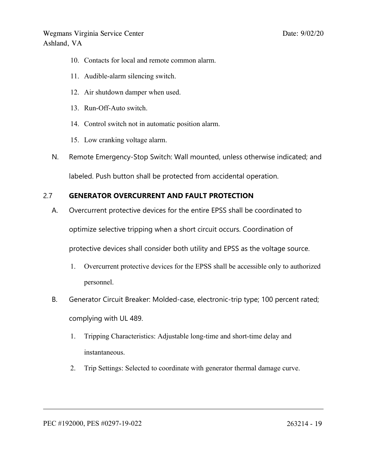- 10. Contacts for local and remote common alarm.
- 11. Audible-alarm silencing switch.
- 12. Air shutdown damper when used.
- 13. Run-Off-Auto switch.
- 14. Control switch not in automatic position alarm.
- 15. Low cranking voltage alarm.
- N. Remote Emergency-Stop Switch: Wall mounted, unless otherwise indicated; and labeled. Push button shall be protected from accidental operation.

# 2.7 **GENERATOR OVERCURRENT AND FAULT PROTECTION**

A. Overcurrent protective devices for the entire EPSS shall be coordinated to

optimize selective tripping when <sup>a</sup> short circuit occurs. Coordination of

protective devices shall consider both utility and EPSS as the voltage source.

- 1. Overcurrent protective devices for the EPSS shall be accessible only to authorized personnel.
- B. Generator Circuit Breaker: Molded-case, electronic-trip type; 100 percent rated; complying with UL 489.
	- 1. Tripping Characteristics: Adjustable long-time and short-time delay and instantaneous.
	- 2. Trip Settings: Selected to coordinate with generator thermal damage curve.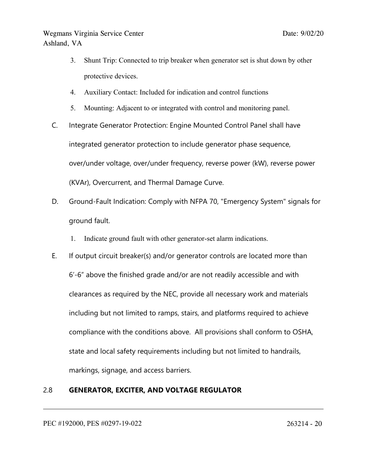- 3. Shunt Trip: Connected to trip breaker when generator set is shut down by other protective devices.
- 4. Auxiliary Contact: Included for indication and control functions
- 5. Mounting: Adjacent to or integrated with control and monitoring panel.
- C. Integrate Generator Protection: Engine Mounted Control Panel shall have integrated generator protection to include generator phase sequence, over/under voltage, over/under frequency, reverse power (kW), reverse power (KVAr), Overcurrent, and Thermal Damage Curve.
- D. Ground-Fault Indication: Comply with NFPA 70, "Emergency System" signals for ground fault.
	- 1. Indicate ground fault with other generator-set alarm indications.
- E. If output circuit breaker(s) and/or generator controls are located more than 6'-6" above the finished grade and/or are not readily accessible and with clearances as required by the NEC, provide all necessary work and materials including but not limited to ramps, stairs, and platforms required to achieve compliance with the conditions above. All provisions shall conform to OSHA, state and local safety requirements including but not limited to handrails, markings, signage, and access barriers.

### 2.8 **GENERATOR, EXCITER, AND VOLTAGE REGULATOR**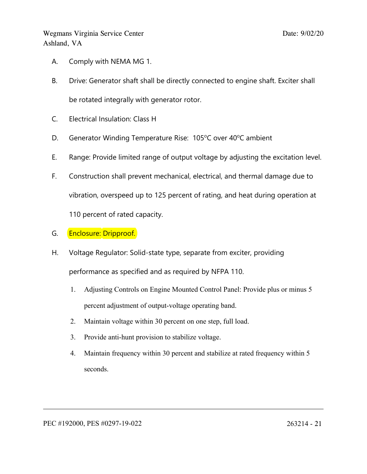- A. Comply with NEMA MG 1.
- B. Drive: Generator shaft shall be directly connected to engine shaft. Exciter shall be rotated integrally with generator rotor.
- C. Electrical Insulation: Class H
- D. Generator Winding Temperature Rise: 105°C over 40°C ambient
- E. Range: Provide limited range of output voltage by adjusting the excitation level.
- F. Construction shall prevent mechanical, electrical, and thermal damage due to vibration, overspeed up to 125 percent of rating, and heat during operation at 110 percent of rated capacity.
- G. **Enclosure: Dripproof.**
- H. Voltage Regulator: Solid-state type, separate from exciter, providing performance as specified and as required by NFPA 110.
	- 1. Adjusting Controls on Engine Mounted Control Panel: Provide plus or minus 5 percen<sup>t</sup> adjustment of output-voltage operating band.
	- 2. Maintain voltage within 30 percen<sup>t</sup> on one step, full load.
	- 3. Provide anti-hunt provision to stabilize voltage.
	- 4. Maintain frequency within 30 percen<sup>t</sup> and stabilize at rated frequency within 5 seconds.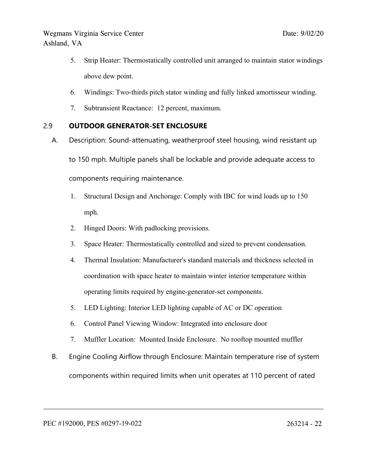- 5. Strip Heater: Thermostatically controlled unit arranged to maintain stator windings above dew point.
- 6. Windings: Two-thirds pitch stator winding and fully linked amortisseur winding.
- 7. Subtransient Reactance: 12 percent, maximum.

### 2.9 **OUTDOOR GENERATOR-SET ENCLOSURE**

- A. Description: Sound-attenuating, weatherproof steel housing, wind resistant up to 150 mph. Multiple panels shall be lockable and provide adequate access to components requiring maintenance.
	- 1. Structural Design and Anchorage: Comply with IBC for wind loads up to 150 mph.
	- 2. Hinged Doors: With padlocking provisions.
	- 3. Space Heater: Thermostatically controlled and sized to preven<sup>t</sup> condensation.
	- 4. Thermal Insulation: Manufacturer's standard materials and thickness selected in coordination with space heater to maintain winter interior temperature within operating limits required by engine-generator-set components.
	- 5. LED Lighting: Interior LED lighting capable of AC or DC operation
	- 6. Control Panel Viewing Window: Integrated into enclosure door
	- 7. Muffler Location: Mounted Inside Enclosure. No rooftop mounted muffler
- B. Engine Cooling Airflow through Enclosure: Maintain temperature rise of system components within required limits when unit operates at 110 percent of rated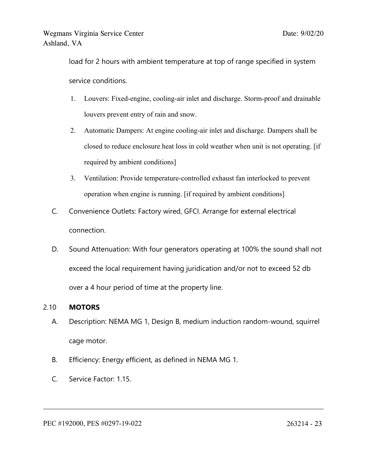load for 2 hours with ambient temperature at top of range specified in system service conditions.

- 1. Louvers: Fixed-engine, cooling-air inlet and discharge. Storm-proof and drainable louvers preven<sup>t</sup> entry of rain and snow.
- 2. Automatic Dampers: At engine cooling-air inlet and discharge. Dampers shall be closed to reduce enclosure heat loss in cold weather when unit is not operating. [if required by ambient conditions]
- 3. Ventilation: Provide temperature-controlled exhaust fan interlocked to preven<sup>t</sup> operation when engine is running. [if required by ambient conditions]
- C. Convenience Outlets: Factory wired, GFCI. Arrange for external electrical connection.
- D. Sound Attenuation: With four generators operating at 100% the sound shall not exceed the local requirement having juridication and/or not to exceed 52 db over <sup>a</sup> 4 hour period of time at the property line.

### 2.10 **MOTORS**

- A. Description: NEMA MG 1, Design B, medium induction random-wound, squirrel cage motor.
- B. Efficiency: Energy efficient, as defined in NEMA MG 1.
- C. Service Factor: 1.15.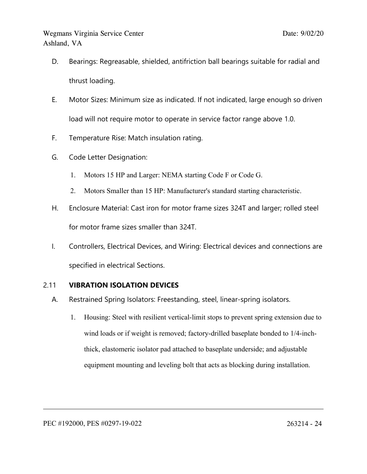- D. Bearings: Regreasable, shielded, antifriction ball bearings suitable for radial and thrust loading.
- E. Motor Sizes: Minimum size as indicated. If not indicated, large enough so driven load will not require motor to operate in service factor range above 1.0.
- F. Temperature Rise: Match insulation rating.
- G. Code Letter Designation:
	- 1. Motors 15 HP and Larger: NEMA starting Code F or Code G.
	- 2. Motors Smaller than 15 HP: Manufacturer's standard starting characteristic.
- H. Enclosure Material: Cast iron for motor frame sizes 324T and larger; rolled steel for motor frame sizes smaller than 324T.
- I. Controllers, Electrical Devices, and Wiring: Electrical devices and connections are specified in electrical Sections.

## 2.11 **VIBRATION ISOLATION DEVICES**

- A. Restrained Spring Isolators: Freestanding, steel, linear-spring isolators.
	- 1. Housing: Steel with resilient vertical-limit stops to preven<sup>t</sup> spring extension due to wind loads or if weight is removed; factory-drilled baseplate bonded to 1/4-inchthick, elastomeric isolator pad attached to baseplate underside; and adjustable equipment mounting and leveling bolt that acts as blocking during installation.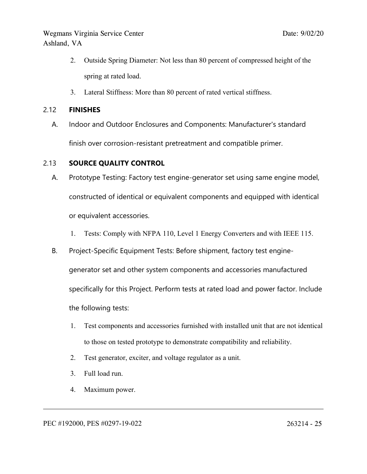- 2. Outside Spring Diameter: Not less than 80 percen<sup>t</sup> of compressed height of the spring at rated load.
- 3. Lateral Stiffness: More than 80 percen<sup>t</sup> of rated vertical stiffness.

### 2.12 **FINISHES**

A. Indoor and Outdoor Enclosures and Components: Manufacturer's standard finish over corrosion-resistant pretreatment and compatible primer.

### 2.13 **SOURCE QUALITY CONTROL**

- A. Prototype Testing: Factory test engine-generator set using same engine model, constructed of identical or equivalent components and equipped with identical or equivalent accessories.
	- 1. Tests: Comply with NFPA 110, Level 1 Energy Converters and with IEEE 115.
- B. Project-Specific Equipment Tests: Before shipment, factory test engine-

generator set and other system components and accessories manufactured specifically for this Project. Perform tests at rated load and power factor. Include the following tests:

- 1. Test components and accessories furnished with installed unit that are not identical to those on tested prototype to demonstrate compatibility and reliability.
- 2. Test generator, exciter, and voltage regulator as <sup>a</sup> unit.
- 3. Full load run.
- 4. Maximum power.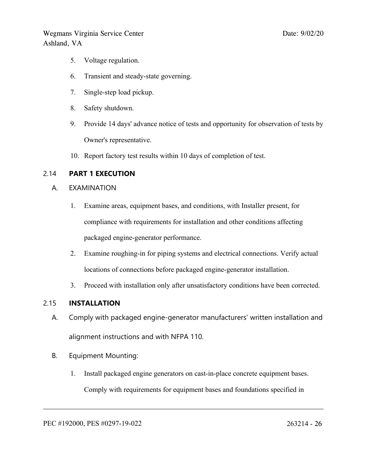- 5. Voltage regulation.
- 6. Transient and steady-state governing.
- 7. Single-step load pickup.
- 8. Safety shutdown.
- 9. Provide 14 days' advance notice of tests and opportunity for observation of tests by Owner's representative.
- 10. Report factory test results within 10 days of completion of test.

### 2.14 **PART 1 EXECUTION**

- A. EXAMINATION
	- 1. Examine areas, equipment bases, and conditions, with Installer present, for compliance with requirements for installation and other conditions affecting packaged engine-generator performance.
	- 2. Examine roughing-in for piping systems and electrical connections. Verify actual locations of connections before packaged engine-generator installation.
	- 3. Proceed with installation only after unsatisfactory conditions have been corrected.

### 2.15 **INSTALLATION**

- A. Comply with packaged engine-generator manufacturers' written installation and alignment instructions and with NFPA 110.
- B. Equipment Mounting:
	- 1. Install packaged engine generators on cast-in-place concrete equipment bases. Comply with requirements for equipment bases and foundations specified in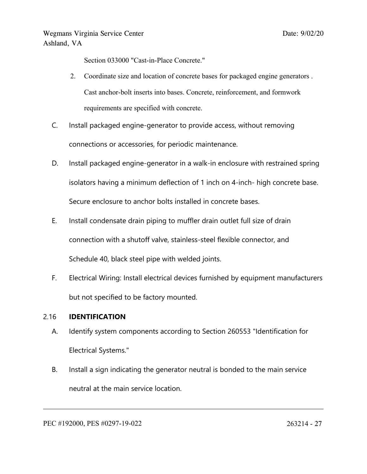Section 033000 "Cast-in-Place Concrete."

- 2. Coordinate size and location of concrete bases for packaged engine generators . Cast anchor-bolt inserts into bases. Concrete, reinforcement, and formwork requirements are specified with concrete.
- C. Install packaged engine-generator to provide access, without removing connections or accessories, for periodic maintenance.
- D. Install packaged engine-generator in <sup>a</sup> walk-in enclosure with restrained spring isolators having <sup>a</sup> minimum deflection of 1 inch on 4-inch- high concrete base. Secure enclosure to anchor bolts installed in concrete bases.
- E. Install condensate drain piping to muffler drain outlet full size of drain connection with <sup>a</sup> shutoff valve, stainless-steel flexible connector, and Schedule 40, black steel pipe with welded joints.
- F. Electrical Wiring: Install electrical devices furnished by equipment manufacturers but not specified to be factory mounted.

### 2.16 **IDENTIFICATION**

- A. Identify system components according to Section 260553 "Identification for Electrical Systems."
- B. Install <sup>a</sup> sign indicating the generator neutral is bonded to the main service neutral at the main service location.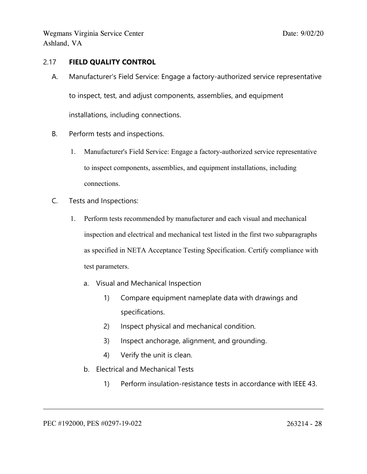### 2.17 **FIELD QUALITY CONTROL**

- A. Manufacturer's Field Service: Engage <sup>a</sup> factory-authorized service representative to inspect, test, and adjust components, assemblies, and equipment installations, including connections.
- B. Perform tests and inspections.
	- 1. Manufacturer's Field Service: Engage <sup>a</sup> factory-authorized service representative to inspect components, assemblies, and equipment installations, including connections.
- C. Tests and Inspections:
	- 1. Perform tests recommended by manufacturer and each visual and mechanical inspection and electrical and mechanical test listed in the first two subparagraphs as specified in NETA Acceptance Testing Specification. Certify compliance with test parameters.
		- a. Visual and Mechanical Inspection
			- 1) Compare equipment nameplate data with drawings and specifications.
			- 2) Inspect physical and mechanical condition.
			- 3) Inspect anchorage, alignment, and grounding.
			- 4) Verify the unit is clean.
		- b. Electrical and Mechanical Tests
			- 1) Perform insulation-resistance tests in accordance with IEEE 43.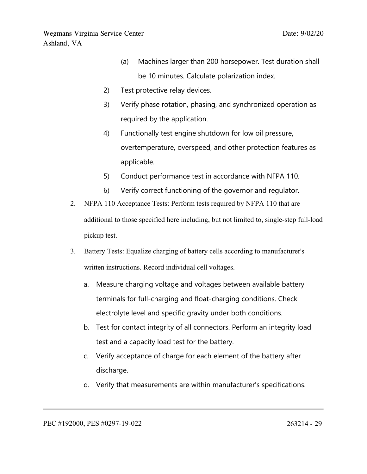- (a) Machines larger than 200 horsepower. Test duration shall be 10 minutes. Calculate polarization index.
- 2) Test protective relay devices.
- 3) Verify phase rotation, phasing, and synchronized operation as required by the application.
- 4) Functionally test engine shutdown for low oil pressure, overtemperature, overspeed, and other protection features as applicable.
- 5) Conduct performance test in accordance with NFPA 110.
- 6) Verify correct functioning of the governor and regulator.
- 2. NFPA 110 Acceptance Tests: Perform tests required by NFPA 110 that are additional to those specified here including, but not limited to, single-step full-load pickup test.
- 3. Battery Tests: Equalize charging of battery cells according to manufacturer's written instructions. Record individual cell voltages.
	- a. Measure charging voltage and voltages between available battery terminals for full-charging and float-charging conditions. Check electrolyte level and specific gravity under both conditions.
	- b. Test for contact integrity of all connectors. Perform an integrity load test and <sup>a</sup> capacity load test for the battery.
	- c. Verify acceptance of charge for each element of the battery after discharge.
	- d. Verify that measurements are within manufacturer's specifications.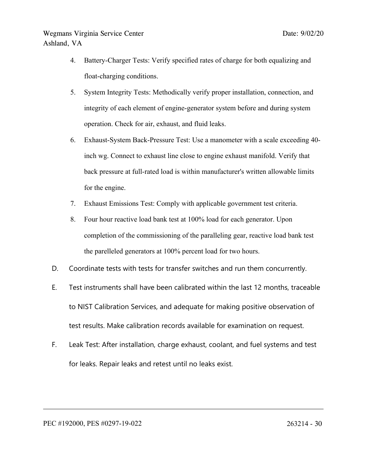- 4. Battery-Charger Tests: Verify specified rates of charge for both equalizing and float-charging conditions.
- 5. System Integrity Tests: Methodically verify proper installation, connection, and integrity of each element of engine-generator system before and during system operation. Check for air, exhaust, and fluid leaks.
- 6. Exhaust-System Back-Pressure Test: Use <sup>a</sup> manometer with <sup>a</sup> scale exceeding 40 inch wg. Connect to exhaust line close to engine exhaust manifold. Verify that back pressure at full-rated load is within manufacturer's written allowable limits for the engine.
- 7. Exhaust Emissions Test: Comply with applicable governmen<sup>t</sup> test criteria.
- 8. Four hour reactive load bank test at 100% load for each generator. Upon completion of the commissioning of the paralleling gear, reactive load bank test the parelleled generators at 100% percen<sup>t</sup> load for two hours.
- D. Coordinate tests with tests for transfer switches and run them concurrently.
- E. Test instruments shall have been calibrated within the last 12 months, traceable to NIST Calibration Services, and adequate for making positive observation of test results. Make calibration records available for examination on request.
- F. Leak Test: After installation, charge exhaust, coolant, and fuel systems and test for leaks. Repair leaks and retest until no leaks exist.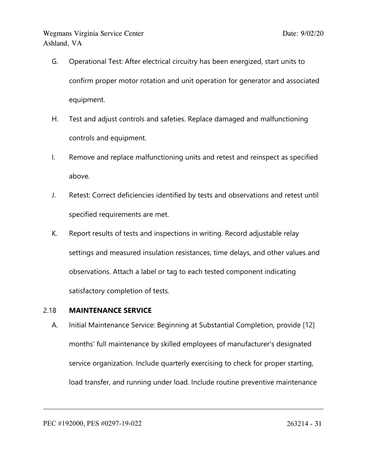- G. Operational Test: After electrical circuitry has been energized, start units to confirm proper motor rotation and unit operation for generator and associated equipment.
- H. Test and adjust controls and safeties. Replace damaged and malfunctioning controls and equipment.
- I. Remove and replace malfunctioning units and retest and reinspect as specified above.
- J. Retest: Correct deficiencies identified by tests and observations and retest until specified requirements are met.
- K. Report results of tests and inspections in writing. Record adjustable relay settings and measured insulation resistances, time delays, and other values and observations. Attach <sup>a</sup> label or tag to each tested component indicating satisfactory completion of tests.

### 2.18 **MAINTENANCE SERVICE**

A. Initial Maintenance Service: Beginning at Substantial Completion, provide [12] months' full maintenance by skilled employees of manufacturer's designated service organization. Include quarterly exercising to check for proper starting, load transfer, and running under load. Include routine preventive maintenance